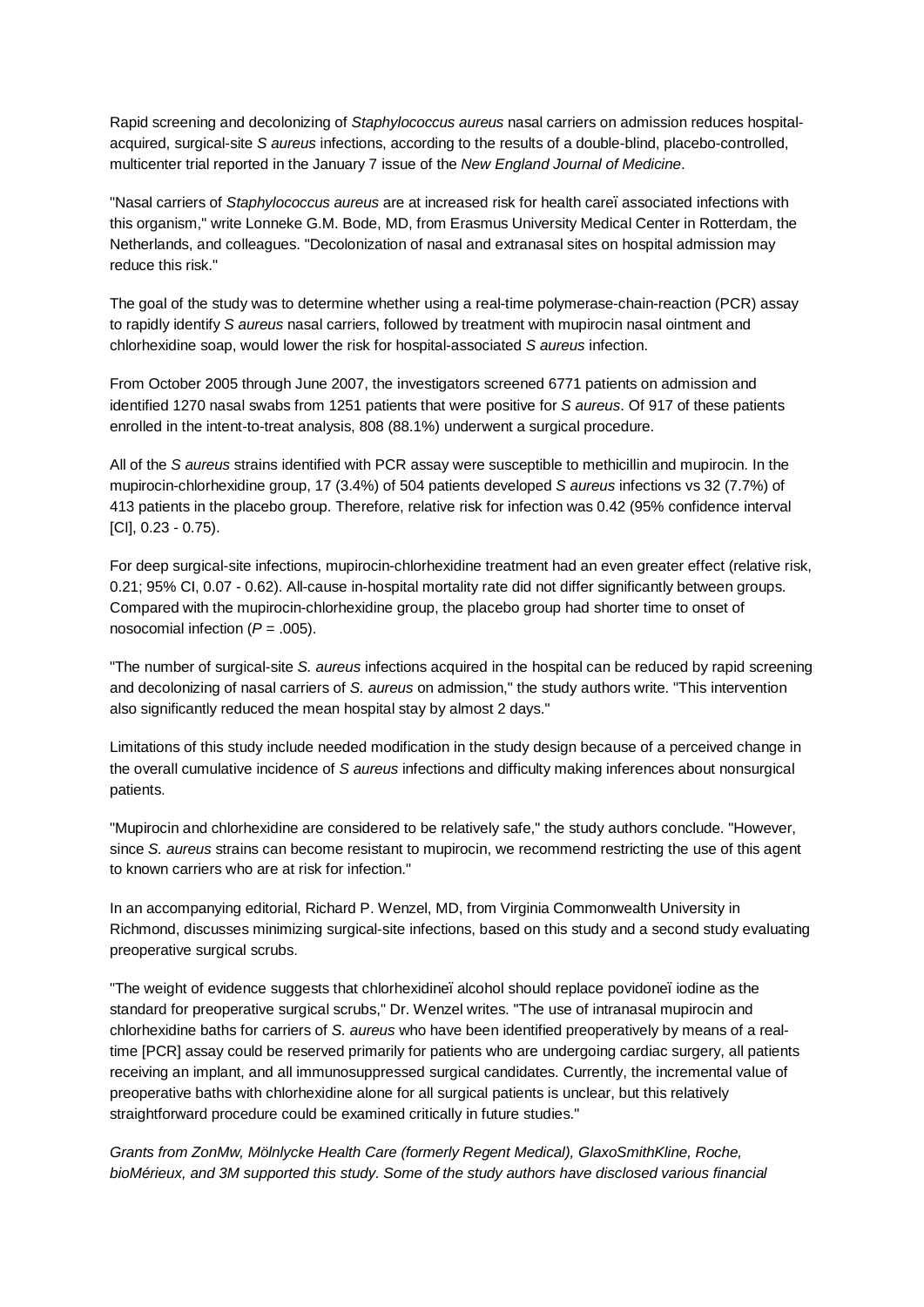Rapid screening and decolonizing of *Staphylococcus aureus* nasal carriers on admission reduces hospitalacquired, surgical-site *S aureus* infections, according to the results of a double-blind, placebo-controlled, multicenter trial reported in the January 7 issue of the *New England Journal of Medicine*.

"Nasal carriers of *Staphylococcus aureus* are at increased risk for health care–associated infections with this organism," write Lonneke G.M. Bode, MD, from Erasmus University Medical Center in Rotterdam, the Netherlands, and colleagues. "Decolonization of nasal and extranasal sites on hospital admission may reduce this risk."

The goal of the study was to determine whether using a real-time polymerase-chain-reaction (PCR) assay to rapidly identify *S aureus* nasal carriers, followed by treatment with mupirocin nasal ointment and chlorhexidine soap, would lower the risk for hospital-associated *S aureus* infection.

From October 2005 through June 2007, the investigators screened 6771 patients on admission and identified 1270 nasal swabs from 1251 patients that were positive for *S aureus*. Of 917 of these patients enrolled in the intent-to-treat analysis, 808 (88.1%) underwent a surgical procedure.

All of the *S aureus* strains identified with PCR assay were susceptible to methicillin and mupirocin. In the mupirocin-chlorhexidine group, 17 (3.4%) of 504 patients developed *S aureus* infections vs 32 (7.7%) of 413 patients in the placebo group. Therefore, relative risk for infection was 0.42 (95% confidence interval [CI], 0.23 - 0.75).

For deep surgical-site infections, mupirocin-chlorhexidine treatment had an even greater effect (relative risk, 0.21; 95% CI, 0.07 - 0.62). All-cause in-hospital mortality rate did not differ significantly between groups. Compared with the mupirocin-chlorhexidine group, the placebo group had shorter time to onset of nosocomial infection (*P* = .005).

"The number of surgical-site *S. aureus* infections acquired in the hospital can be reduced by rapid screening and decolonizing of nasal carriers of *S. aureus* on admission," the study authors write. "This intervention also significantly reduced the mean hospital stay by almost 2 days."

Limitations of this study include needed modification in the study design because of a perceived change in the overall cumulative incidence of *S aureus* infections and difficulty making inferences about nonsurgical patients.

"Mupirocin and chlorhexidine are considered to be relatively safe," the study authors conclude. "However, since *S. aureus* strains can become resistant to mupirocin, we recommend restricting the use of this agent to known carriers who are at risk for infection."

In an accompanying editorial, Richard P. Wenzel, MD, from Virginia Commonwealth University in Richmond, discusses minimizing surgical-site infections, based on this study and a second study evaluating preoperative surgical scrubs.

"The weight of evidence suggests that chlorhexidine, alcohol should replace povidone, iodine as the standard for preoperative surgical scrubs," Dr. Wenzel writes. "The use of intranasal mupirocin and chlorhexidine baths for carriers of *S. aureus* who have been identified preoperatively by means of a realtime [PCR] assay could be reserved primarily for patients who are undergoing cardiac surgery, all patients receiving an implant, and all immunosuppressed surgical candidates. Currently, the incremental value of preoperative baths with chlorhexidine alone for all surgical patients is unclear, but this relatively straightforward procedure could be examined critically in future studies."

*Grants from ZonMw, Mölnlycke Health Care (formerly Regent Medical), GlaxoSmithKline, Roche, bioMérieux, and 3M supported this study. Some of the study authors have disclosed various financial*